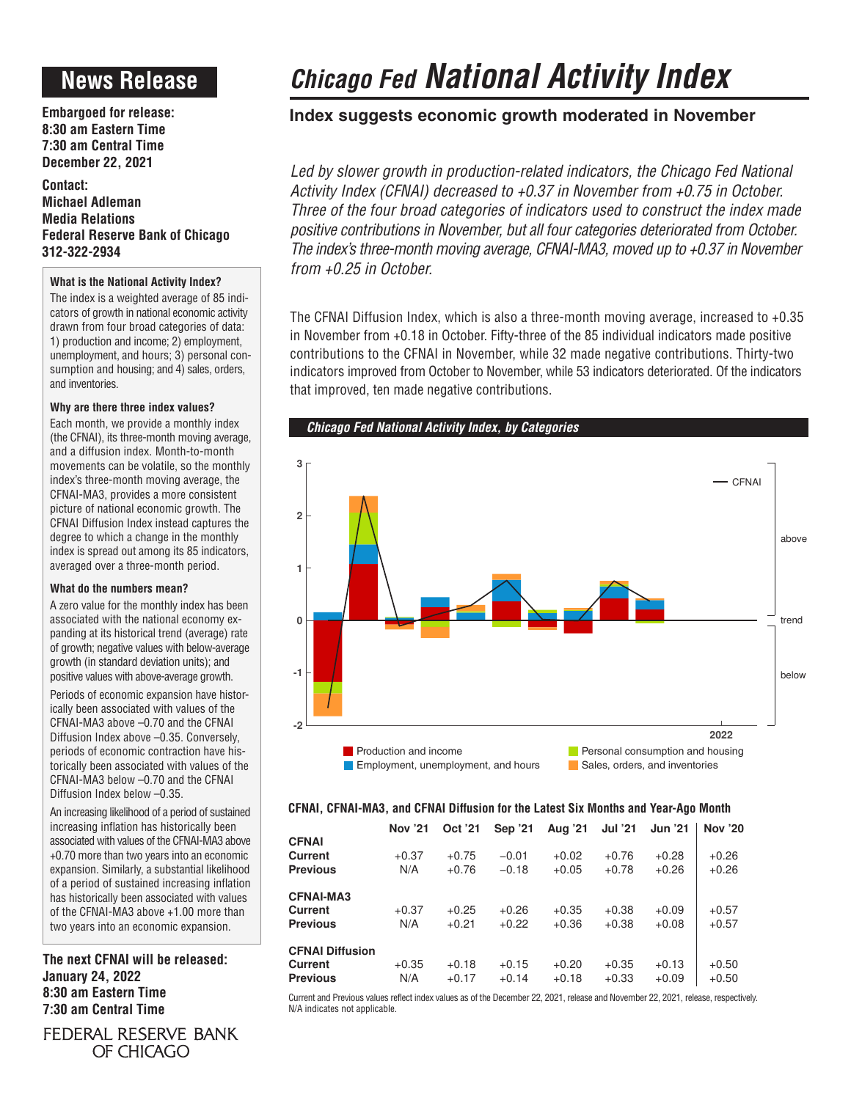# **News Release**

**Embargoed for release: 8:30 am Eastern Time 7:30 am Central Time December 22, 2021**

**Contact: Michael Adleman Media Relations Federal Reserve Bank of Chicago 312-322-2934**

# **What is the National Activity Index?**

The index is a weighted average of 85 indicators of growth in national economic activity drawn from four broad categories of data: 1) production and income; 2) employment, unemployment, and hours; 3) personal consumption and housing; and 4) sales, orders, and inventories.

# **Why are there three index values?**

Each month, we provide a monthly index (the CFNAI), its three-month moving average, and a diffusion index. Month-to-month movements can be volatile, so the monthly index's three-month moving average, the CFNAI-MA3, provides a more consistent picture of national economic growth. The CFNAI Diffusion Index instead captures the degree to which a change in the monthly index is spread out among its 85 indicators, averaged over a three-month period.

## **What do the numbers mean?**

A zero value for the monthly index has been associated with the national economy expanding at its historical trend (average) rate of growth; negative values with below-average growth (in standard deviation units); and positive values with above-average growth.

Periods of economic expansion have historically been associated with values of the CFNAI-MA3 above –0.70 and the CFNAI Diffusion Index above –0.35. Conversely, periods of economic contraction have historically been associated with values of the CFNAI-MA3 below –0.70 and the CFNAI Diffusion Index below –0.35.

An increasing likelihood of a period of sustained increasing inflation has historically been associated with values of the CFNAI-MA3 above +0.70 more than two years into an economic expansion. Similarly, a substantial likelihood of a period of sustained increasing inflation has historically been associated with values of the CFNAI-MA3 above +1.00 more than two years into an economic expansion.

**The next CFNAI will be released: January 24, 2022 8:30 am Eastern Time 7:30 am Central Time**

FEDERAL RESERVE BANK OF CHICAGO

# *Chicago Fed National Activity Index*

# **Index suggests economic growth moderated in November**

Led by slower growth in production-related indicators, the Chicago Fed National *Activity Index (CFNAI) decreased to +0.37 in November from +0.75 in October. Three of the four broad categories of indicators used to construct the index made positive contributions in November, but all four categories deteriorated from October. The index's three-month moving average, CFNAI-MA3, moved up to +0.37 in November from +0.25 in October.*

The CFNAI Diffusion Index, which is also a three-month moving average, increased to +0.35 in November from +0.18 in October. Fifty-three of the 85 individual indicators made positive contributions to the CFNAI in November, while 32 made negative contributions. Thirty-two indicators improved from October to November, while 53 indicators deteriorated. Of the indicators that improved, ten made negative contributions.



# **CFNAI, CFNAI-MA3, and CFNAI Diffusion for the Latest Six Months and Year-Ago Month**

|                        | <b>Nov '21</b> | Oct '21 | Sep '21 | Aug '21 | <b>Jul '21</b> | <b>Jun '21</b> | <b>Nov '20</b> |
|------------------------|----------------|---------|---------|---------|----------------|----------------|----------------|
| <b>CFNAI</b>           |                |         |         |         |                |                |                |
| <b>Current</b>         | $+0.37$        | $+0.75$ | $-0.01$ | $+0.02$ | $+0.76$        | $+0.28$        | $+0.26$        |
| <b>Previous</b>        | N/A            | $+0.76$ | $-0.18$ | $+0.05$ | $+0.78$        | $+0.26$        | $+0.26$        |
| <b>CFNAI-MA3</b>       |                |         |         |         |                |                |                |
| <b>Current</b>         | $+0.37$        | $+0.25$ | $+0.26$ | $+0.35$ | $+0.38$        | $+0.09$        | $+0.57$        |
| <b>Previous</b>        | N/A            | $+0.21$ | $+0.22$ | $+0.36$ | $+0.38$        | $+0.08$        | $+0.57$        |
| <b>CFNAI Diffusion</b> |                |         |         |         |                |                |                |
| Current                | $+0.35$        | $+0.18$ | $+0.15$ | $+0.20$ | $+0.35$        | $+0.13$        | $+0.50$        |
| <b>Previous</b>        | N/A            | $+0.17$ | $+0.14$ | $+0.18$ | $+0.33$        | $+0.09$        | $+0.50$        |

Current and Previous values reflect index values as of the December 22, 2021, release and November 22, 2021, release, respectively. N/A indicates not applicable.